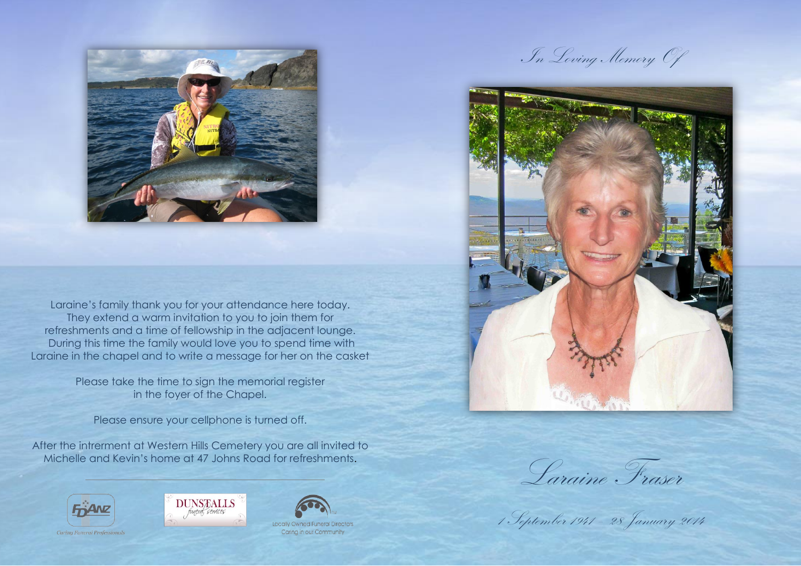

Laraine's family thank you for your attendance here today. They extend a warm invitation to you to join them for refreshments and a time of fellowship in the adjacent lounge. During this time the family would love you to spend time with Laraine in the chapel and to write a message for her on the casket

> Please take the time to sign the memorial register in the foyer of the Chapel.

Please ensure your cellphone is turned off.

After the intrerment at Western Hills Cemetery you are all invited to Michelle and Kevin's home at 47 Johns Road for refreshments.



Carina Funeral Professiona





Locally Owned Funer Caring in our Community

In Loving Memory Of



Laraine Fraser

1 September 1941 – 28 January 2014